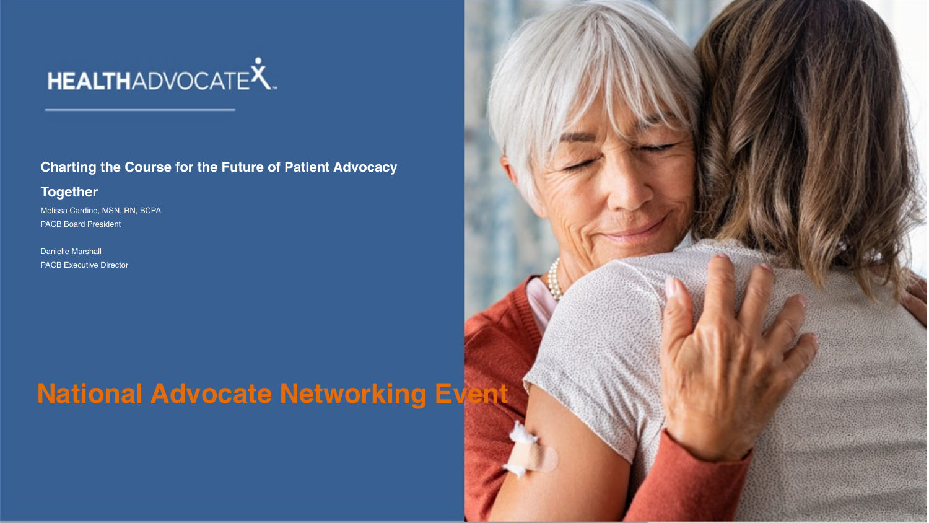

**Charting the Course for the Future of Patient Advocacy** 

#### **Together**

Melissa Cardine, MSN, RN, BCPA PACB Board President

Danielle Marshall PACB Executive Director

#### **National Advocate Networking Ev**

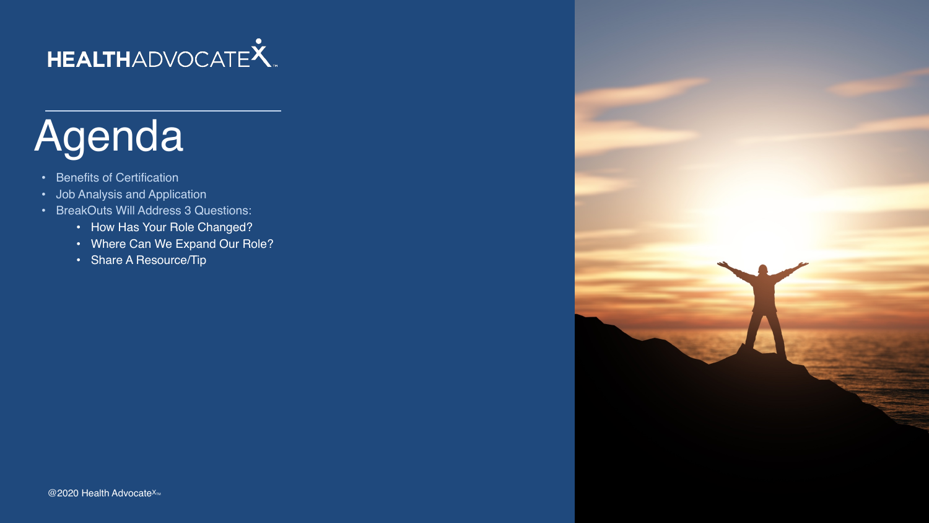

# **Agenda**

- Benefits of Certification
- Job Analysis and Application
- BreakOuts Will Address 3 Questions:
	- How Has Your Role Changed?
	- Where Can We Expand Our Role?
	- Share A Resource/Tip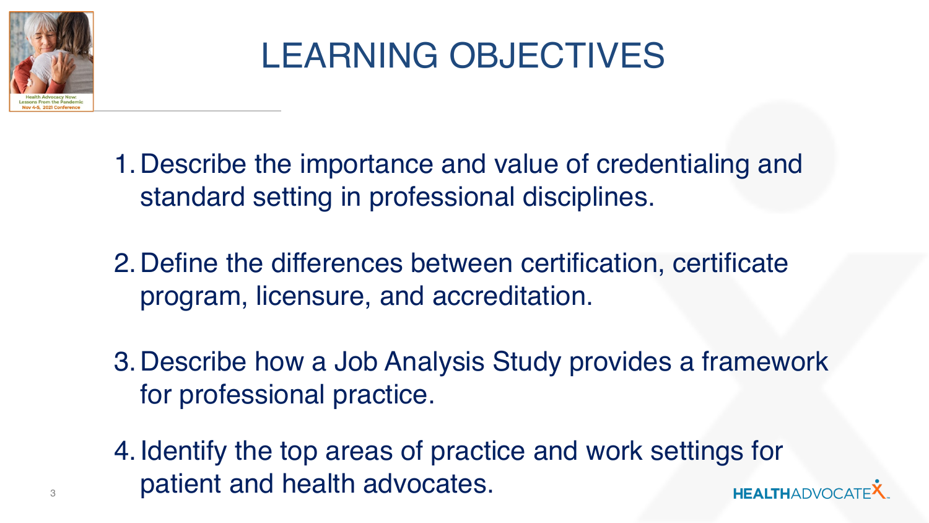

## LEARNING OBJECTIVES

- 1.Describe the importance and value of credentialing and standard setting in professional disciplines.
- 2.Define the differences between certification, certificate program, licensure, and accreditation.
- 3.Describe how a Job Analysis Study provides a framework for professional practice.
- 4.Identify the top areas of practice and work settings for patient and health advocates.**HEALTHADVOCA**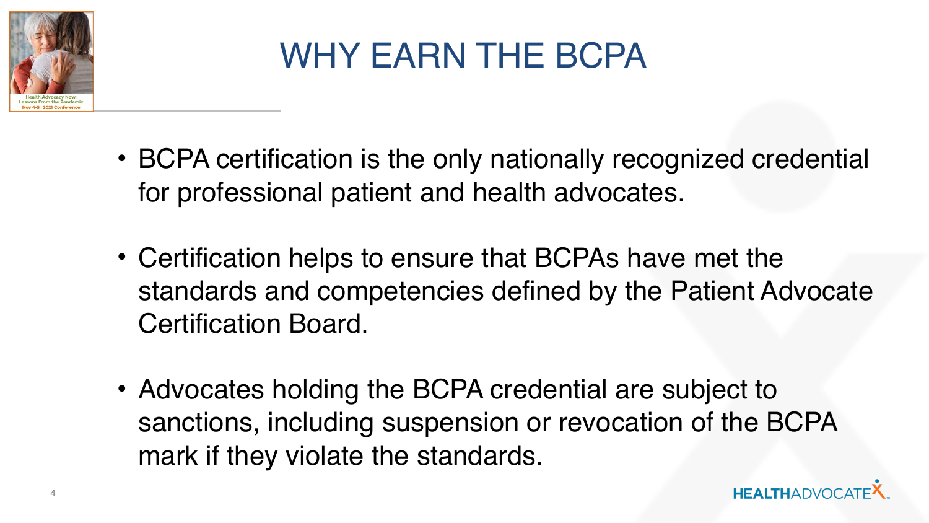

## WHY EARN THE BCPA

- BCPA certification is the only nationally recognized credential for professional patient and health advocates.
- Certification helps to ensure that BCPAs have met the standards and competencies defined by the Patient Advocate Certification Board.
- Advocates holding the BCPA credential are subject to sanctions, including suspension or revocation of the BCPA mark if they violate the standards.

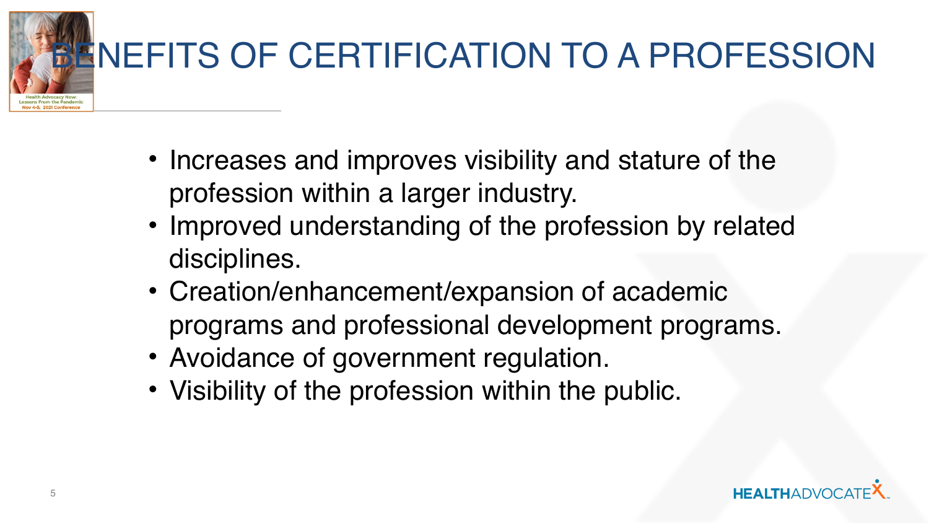

## ENEFITS OF CERTIFICATION TO A PROFESSION

- Increases and improves visibility and stature of the profession within a larger industry.
- Improved understanding of the profession by related disciplines.
- Creation/enhancement/expansion of academic programs and professional development programs.
- Avoidance of government regulation.
- Visibility of the profession within the public.

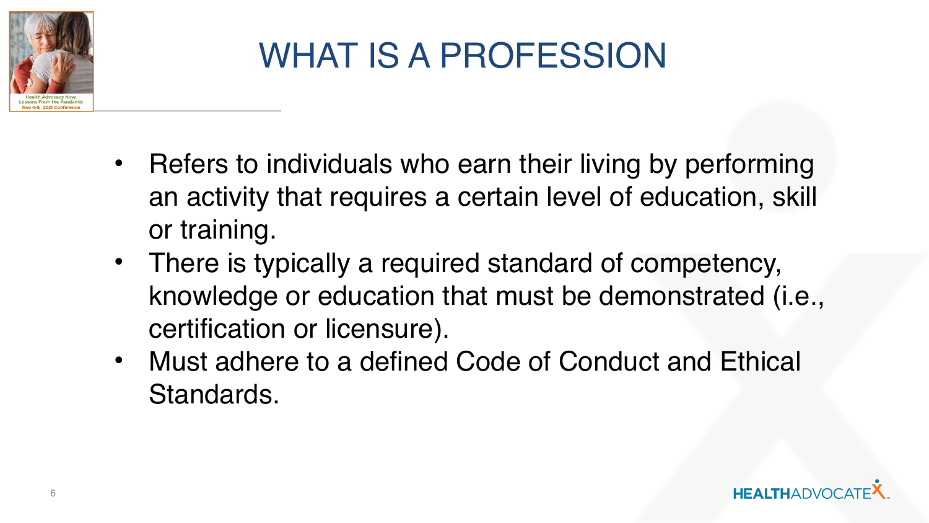

### WHAT IS A PROFESSION

- Refers to individuals who earn their living by performing an activity that requires a certain level of education, skill or training.
- There is typically a required standard of competency, knowledge or education that must be demonstrated (i.e., certification or licensure).
- Must adhere to a defined Code of Conduct and Ethical Standards.

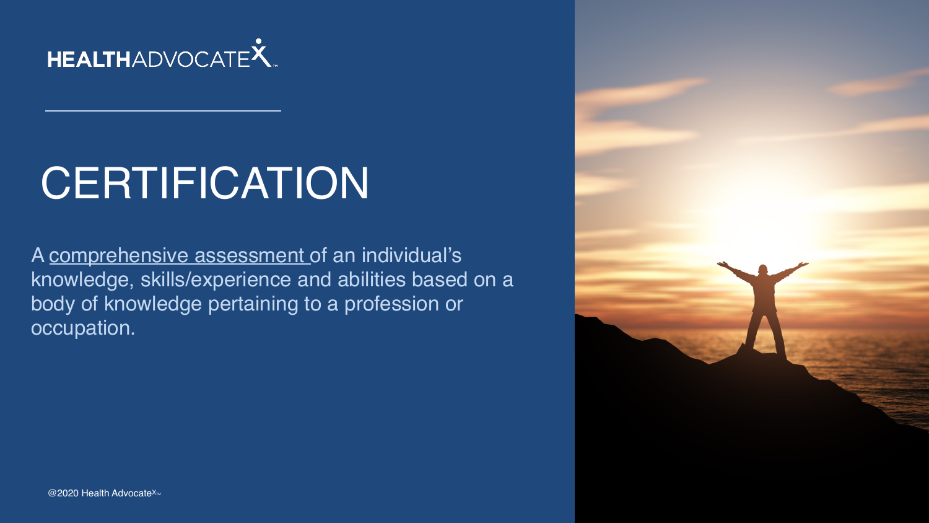

## **CERTIFICATION**

A comprehensive assessment of an individual's knowledge, skills/experience and abilities based on a body of knowledge pertaining to a profession or occupation.



@2020 Health Advocate $X_{T_M}$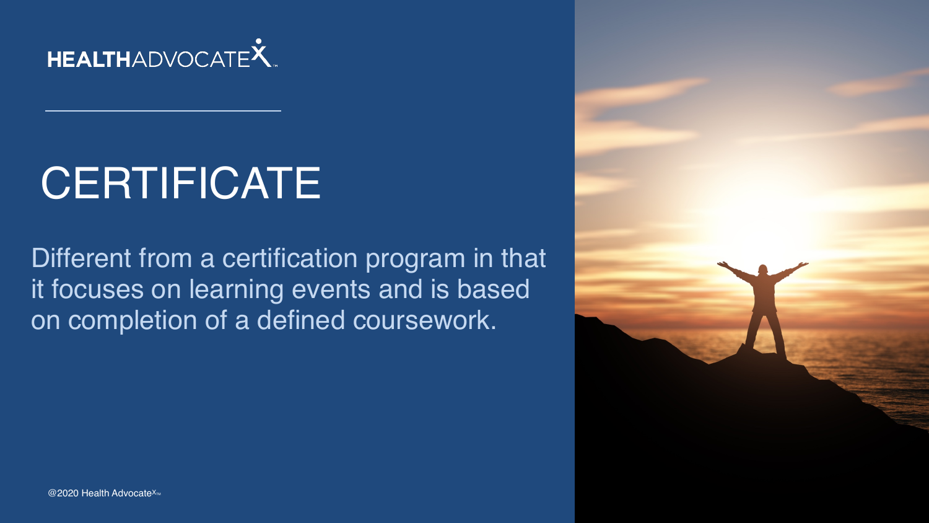

## **CERTIFICATE**

Different from a certification program in that it focuses on learning events and is based on completion of a defined coursework.

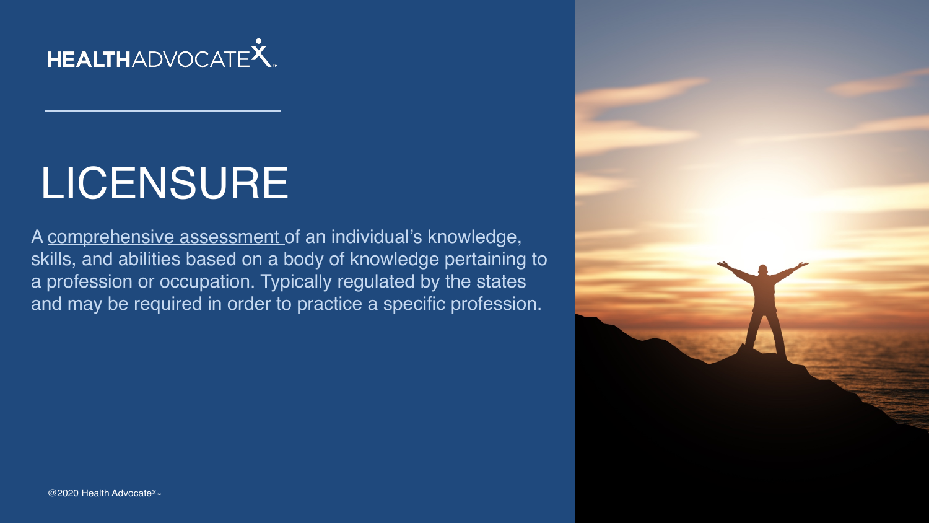

## LICENSURE

A comprehensive assessment of an individual's knowledge, skills, and abilities based on a body of knowledge pertaining to a profession or occupation. Typically regulated by the states and may be required in order to practice a specific profession.

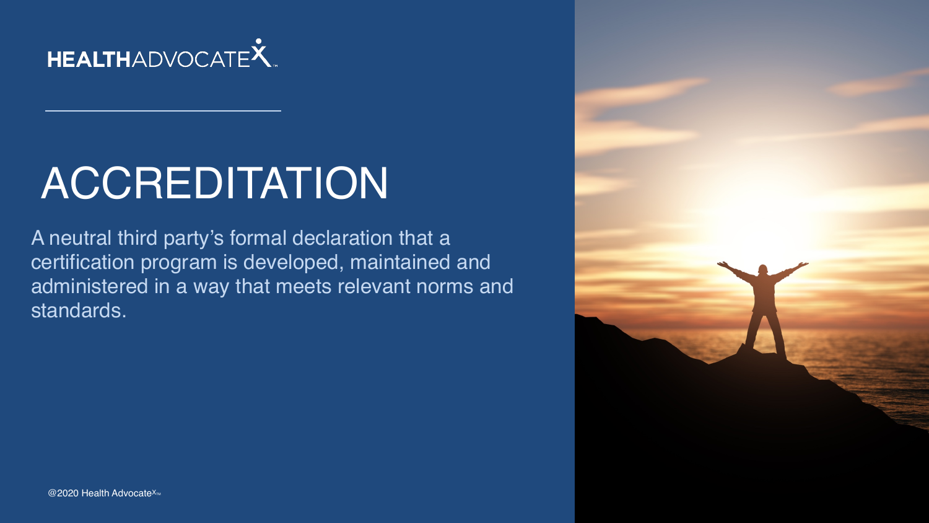

## **ACCREDITATION**

A neutral third party's formal declaration that a certification program is developed, maintained and administered in a way that meets relevant norms and standards.

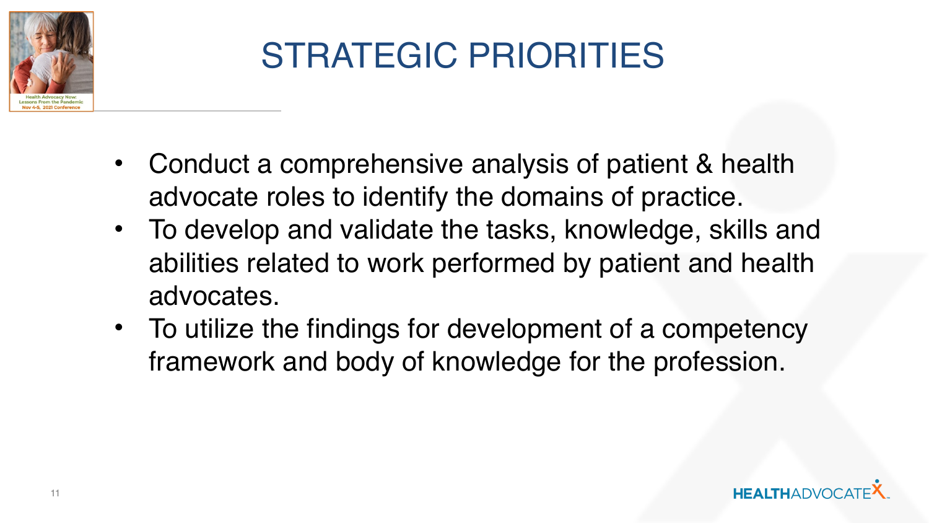

### STRATEGIC PRIORITIES

- Conduct a comprehensive analysis of patient & health advocate roles to identify the domains of practice.
- To develop and validate the tasks, knowledge, skills and abilities related to work performed by patient and health advocates.
- To utilize the findings for development of a competency framework and body of knowledge for the profession.

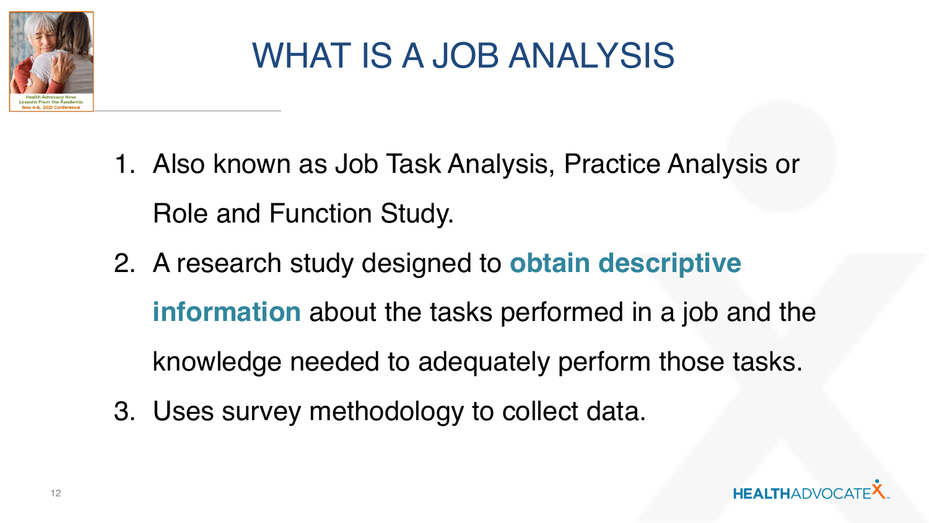

## WHAT IS A JOB ANALYSIS

- 1. Also known as Job Task Analysis, Practice Analysis or Role and Function Study.
- 2. A research study designed to **obtain descriptive information** about the tasks performed in a job and the knowledge needed to adequately perform those tasks.
- 3. Uses survey methodology to collect data.

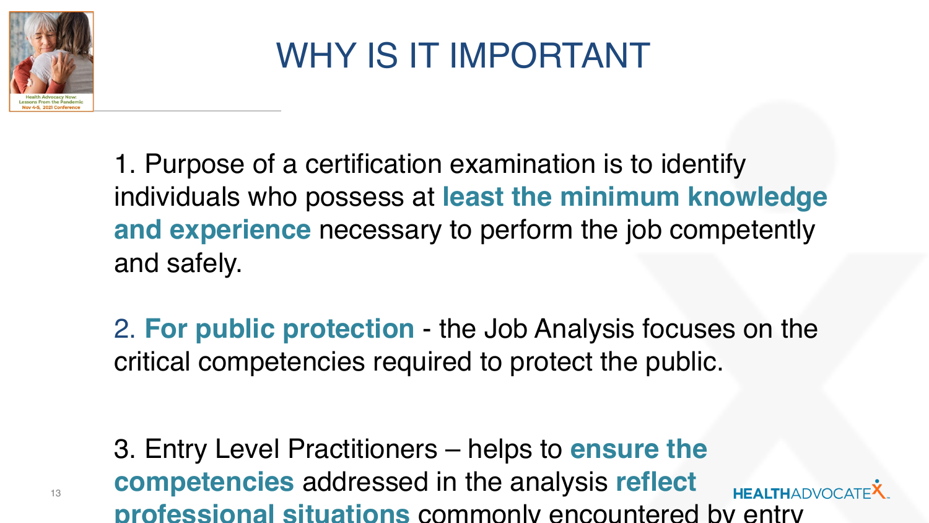

## WHY IS IT IMPORTANT

1. Purpose of a certification examination is to identify individuals who possess at **least the minimum knowledge and experience** necessary to perform the job competently and safely.

2. **For public protection** - the Job Analysis focuses on the critical competencies required to protect the public.

3. Entry Level Practitioners – helps to **ensure the competencies** addressed in the analysis **reflect HEALTHADVOCATEX professional situations** commonly encountered by entry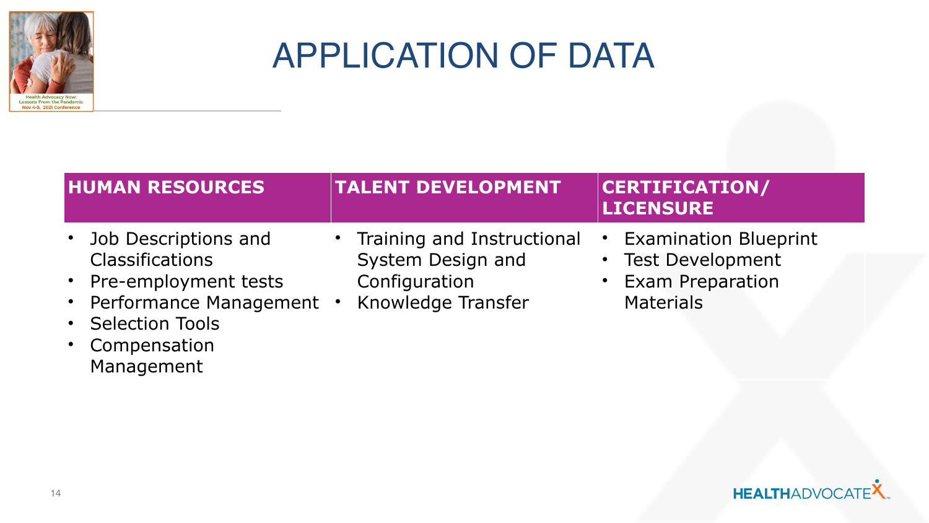

#### APPLICATION OF DATA

| <b>HUMAN RESOURCES</b>                                                                                                                        | <b>TALENT DEVELOPMENT</b>                                                              | <b>CERTIFICATION/</b><br><b>LICENSURE</b>                                                              |
|-----------------------------------------------------------------------------------------------------------------------------------------------|----------------------------------------------------------------------------------------|--------------------------------------------------------------------------------------------------------|
| Job Descriptions and<br><b>Classifications</b><br>• Pre-employment tests<br>• Performance Management •<br>• Selection Tools<br>• Compensation | Training and Instructional<br>System Design and<br>Configuration<br>Knowledge Transfer | <b>Examination Blueprint</b><br><b>Test Development</b><br><b>Exam Preparation</b><br><b>Materials</b> |

• Compensation Management

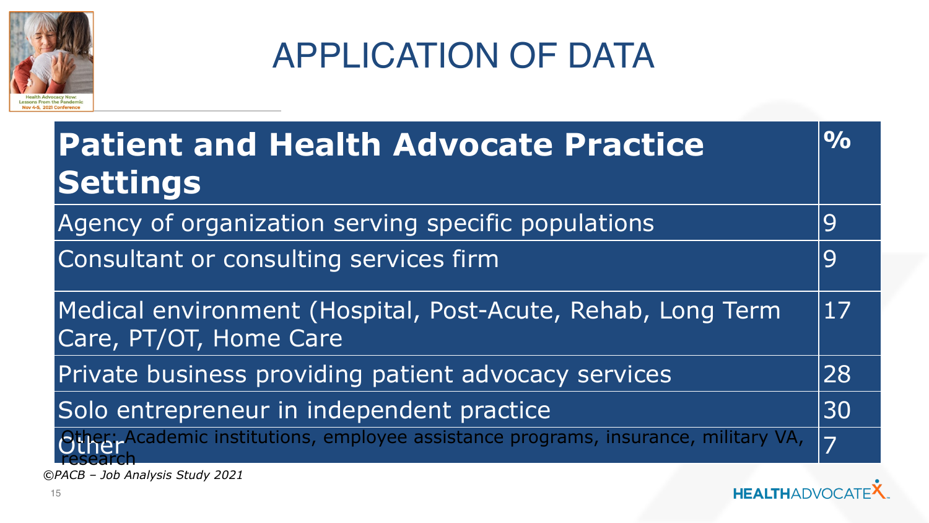

#### APPLICATION OF DATA

| <b>Patient and Health Advocate Practice</b><br>Settings                               | O <sub>0</sub> |
|---------------------------------------------------------------------------------------|----------------|
| Agency of organization serving specific populations                                   |                |
| Consultant or consulting services firm                                                |                |
| Medical environment (Hospital, Post-Acute, Rehab, Long Term<br>Care, PT/OT, Home Care |                |
| Private business providing patient advocacy services                                  |                |
| Solo entrepreneur in independent practice                                             |                |
| her: Academic institutions, employee assistance programs, insurance, military VA,     | $\overline{7}$ |

**HEALTHADVOCATEX** 

*©PACB – Job Analysis Study 2021*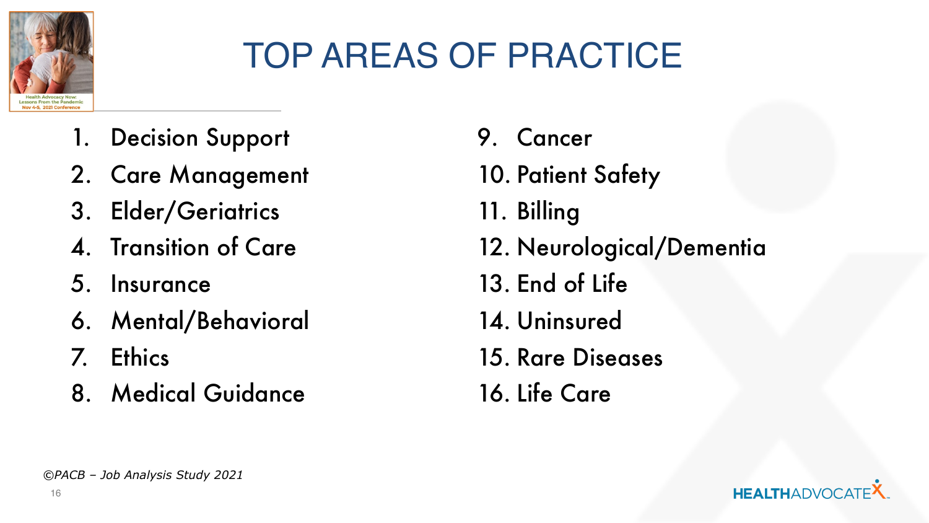

## TOP AREAS OF PRACTICE

- 1. Decision Support
- 2. Care Management
- 3. Elder/Geriatrics
- 4. Transition of Care
- 5. Insurance
- 6. Mental/Behavioral
- 7. Ethics
- 8. Medical Guidance
- 9. Cancer
- 10. Patient Safety
- 11. Billing
- 12. Neurological/Dementia
- 13. End of Life
- 14. Uninsured
- 15. Rare Diseases
- 16. Life Care

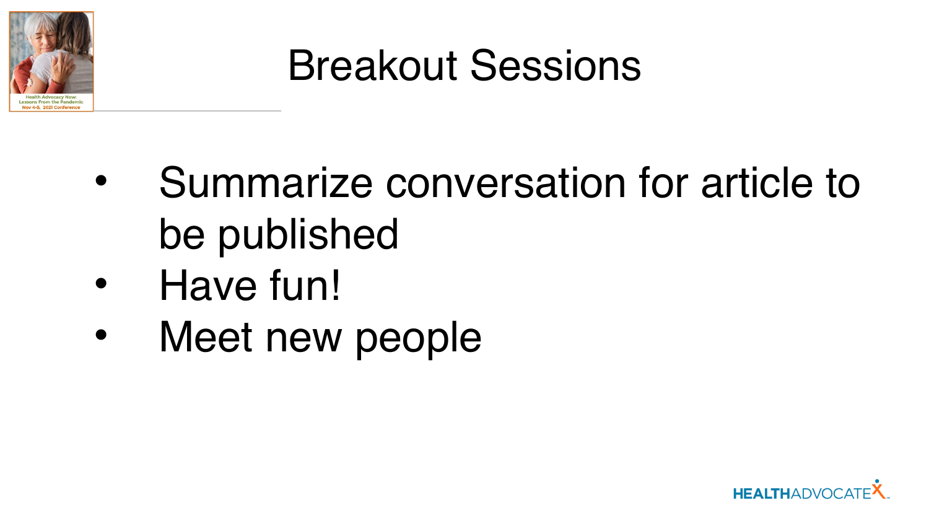

## Breakout Sessions

- Summarize conversation for article to be published
- Have fun!
- Meet new people